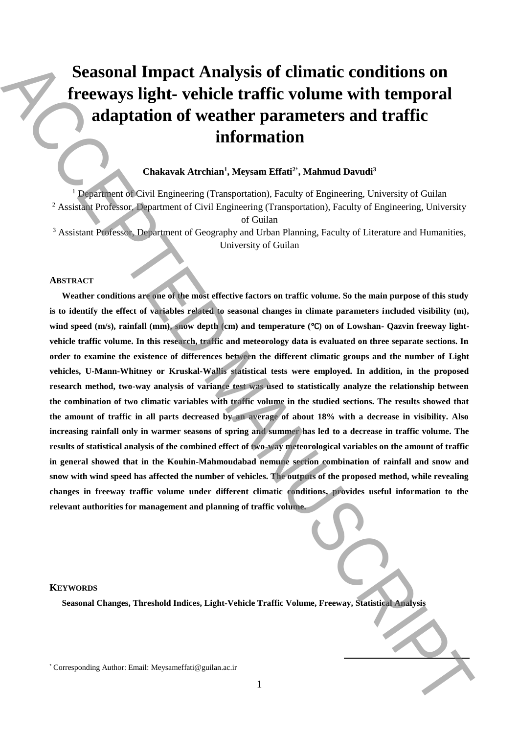# **Seasonal Impact Analysis of climatic conditions on freeways light- vehicle traffic volume with temporal adaptation of weather parameters and traffic information**

## **Chakavak Atrchian<sup>1</sup> , Meysam Effati<sup>2</sup>**\* **, Mahmud Davudi<sup>3</sup>**

<sup>1</sup> Department of Civil Engineering (Transportation), Faculty of Engineering, University of Guilan <sup>2</sup> Assistant Professor, Department of Civil Engineering (Transportation), Faculty of Engineering, University of Guilan

<sup>3</sup> Assistant Professor, Department of Geography and Urban Planning, Faculty of Literature and Humanities, University of Guilan

### **ABSTRACT**

**Weather conditions are one of the most effective factors on traffic volume. So the main purpose of this study is to identify the effect of variables related to seasonal changes in climate parameters included visibility (m), wind speed (m/s), rainfall (mm), snow depth (cm) and temperature (**℃**) on of Lowshan- Qazvin freeway lightvehicle traffic volume. In this research, traffic and meteorology data is evaluated on three separate sections. In order to examine the existence of differences between the different climatic groups and the number of Light vehicles, U-Mann-Whitney or Kruskal-Wallis statistical tests were employed. In addition, in the proposed research method, two-way analysis of variance test was used to statistically analyze the relationship between the combination of two climatic variables with traffic volume in the studied sections. The results showed that the amount of traffic in all parts decreased by an average of about 18% with a decrease in visibility. Also increasing rainfall only in warmer seasons of spring and summer has led to a decrease in traffic volume. The results of statistical analysis of the combined effect of two-way meteorological variables on the amount of traffic in general showed that in the Kouhin-Mahmoudabad nemune section combination of rainfall and snow and snow with wind speed has affected the number of vehicles. The outputs of the proposed method, while revealing changes in freeway traffic volume under different climatic conditions, provides useful information to the relevant authorities for management and planning of traffic volume.** Seasonal Impact Analysis of climatic conditions on the properties and traffic additional additions of weater parameters and traffic individual and the properties of corresponding  $\sim$  Corresponding Corresponding Correspon

### **KEYWORDS**

**Seasonal Changes, Threshold Indices, Light-Vehicle Traffic Volume, Freeway, Statistical Analysis**

**.**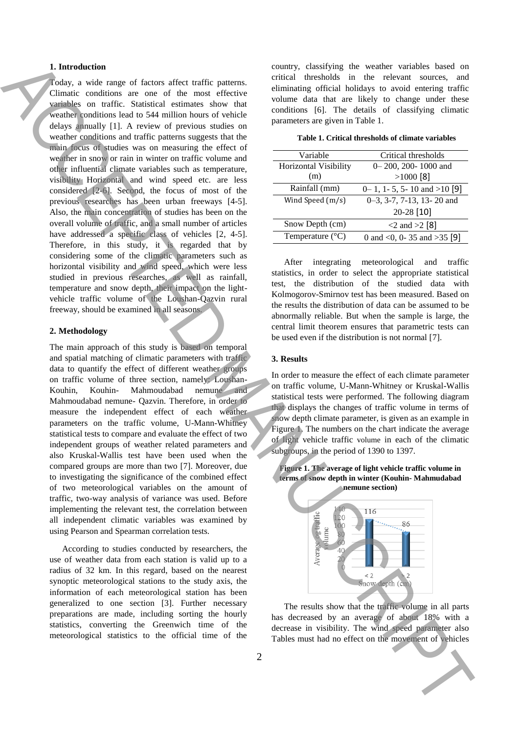## **1. Introduction**

Today, a wide range of factors affect traffic patterns. Climatic conditions are one of the most effective variables on traffic. Statistical estimates show that weather conditions lead to 544 million hours of vehicle delays annually [1]. A review of previous studies on weather conditions and traffic patterns suggests that the main focus of studies was on measuring the effect of weather in snow or rain in winter on traffic volume and other influential climate variables such as temperature, visibility Horizontal and wind speed etc. are less considered [2-6]. Second, the focus of most of the previous researches has been urban freeways [4-5]. Also, the main concentration of studies has been on the overall volume of traffic, and a small number of articles have addressed a specific class of vehicles [2, 4-5]. Therefore, in this study, it is regarded that by considering some of the climatic parameters such as horizontal visibility and wind speed, which were less studied in previous researches, as well as rainfall, temperature and snow depth, their impact on the lightvehicle traffic volume of the Loushan-Qazvin rural freeway, should be examined in all seasons. **Therefore the movement of vehicles must had no effect on the movement of vehicles had no effect on the movement of vehicles and**  $\alpha$  **of**  $\alpha$  **of**  $\alpha$  **of**  $\alpha$  **of**  $\alpha$  **of**  $\alpha$  **of**  $\alpha$  **of**  $\alpha$  **of**  $\alpha$  **of**  $\alpha$  **of**  $\alpha$  **of**  $\alpha$ 

## **2. Methodology**

The main approach of this study is based on temporal and spatial matching of climatic parameters with traffic data to quantify the effect of different weather groups on traffic volume of three section, namely: Loushan-Kouhin, Kouhin- Mahmoudabad nemune and Mahmoudabad nemune- Qazvin. Therefore, in order to measure the independent effect of each weather parameters on the traffic volume, U-Mann-Whitney statistical tests to compare and evaluate the effect of two independent groups of weather related parameters and also Kruskal-Wallis test have been used when the compared groups are more than two [7]. Moreover, due to investigating the significance of the combined effect of two meteorological variables on the amount of traffic, two-way analysis of variance was used. Before implementing the relevant test, the correlation between all independent climatic variables was examined by using Pearson and Spearman correlation tests.

According to studies conducted by researchers, the use of weather data from each station is valid up to a radius of 32 km. In this regard, based on the nearest synoptic meteorological stations to the study axis, the information of each meteorological station has been generalized to one section [3]. Further necessary preparations are made, including sorting the hourly statistics, converting the Greenwich time of the meteorological statistics to the official time of the country, classifying the weather variables based on critical thresholds in the relevant sources, and eliminating official holidays to avoid entering traffic volume data that are likely to change under these conditions [6]. The details of classifying climatic parameters are given in Table 1.

| Variable                  | Critical thresholds                |
|---------------------------|------------------------------------|
| Horizontal Visibility     | 0-200, 200-1000 and                |
| (m)                       | $>1000$ [8]                        |
| Rainfall (mm)             | $0-1$ , 1 - 5, 5 - 10 and > 10 [9] |
| Wind Speed (m/s)          | $0-3$ , 3-7, 7-13, 13-20 and       |
|                           | 20-28 [10]                         |
| Snow Depth (cm)           | $<$ 2 and $>$ 2 [8]                |
| Temperature $(^{\circ}C)$ | 0 and <0, 0-35 and >35 [9]         |

After integrating meteorological and traffic statistics, in order to select the appropriate statistical test, the distribution of the studied data with Kolmogorov-Smirnov test has been measured. Based on the results the distribution of data can be assumed to be abnormally reliable. But when the sample is large, the central limit theorem ensures that parametric tests can be used even if the distribution is not normal [7].

#### **3. Results**

In order to measure the effect of each climate parameter on traffic volume, U-Mann-Whitney or Kruskal-Wallis statistical tests were performed. The following diagram that displays the changes of traffic volume in terms of snow depth climate parameter, is given as an example in Figure 1. The numbers on the chart indicate the average of light vehicle traffic volume in each of the climatic subgroups, in the period of 1390 to 1397.

**Figure 1. The average of light vehicle traffic volume in terms of snow depth in winter (Kouhin- Mahmudabad nemune section)**



The results show that the traffic volume in all parts has decreased by an average of about 18% with a decrease in visibility. The wind speed parameter also